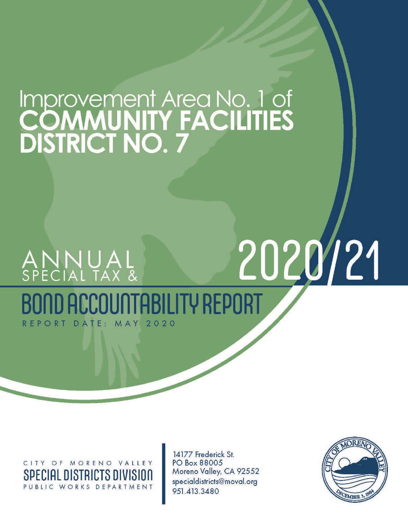# Improvement Area No. 1 of<br>COMMUNITY FACILITIES<br>DISTRICT NO. 7

# 2020/21 ANNUAL<br>Special tax & OUNTABILITY REPORT DATE: MAY  $2020$ REPORT

CITY OF MORENO VALLEY **SPECIAL DISTRICTS DIVISION** PUBLIC WORKS DEPARTMENT

14177 Frederick St. PO Box 88005 Moreno Valley, CA 92552 specialdistricts@moval.org 951.413.3480

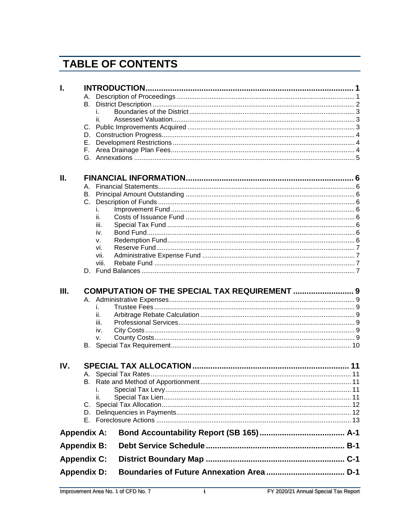# **TABLE OF CONTENTS**

| I.                 |    |       |                                               |  |
|--------------------|----|-------|-----------------------------------------------|--|
|                    |    |       |                                               |  |
|                    | B. |       |                                               |  |
|                    |    | İ.    |                                               |  |
|                    |    | ii.   |                                               |  |
|                    |    |       |                                               |  |
|                    |    |       |                                               |  |
|                    |    |       |                                               |  |
|                    |    |       |                                               |  |
|                    |    |       |                                               |  |
| П.                 |    |       |                                               |  |
|                    | А. |       |                                               |  |
|                    |    |       |                                               |  |
|                    |    |       |                                               |  |
|                    |    | İ.    |                                               |  |
|                    |    | ii.   |                                               |  |
|                    |    | iii.  |                                               |  |
|                    |    | iv.   |                                               |  |
|                    |    | V.    |                                               |  |
|                    |    | vi.   |                                               |  |
|                    |    | vii.  |                                               |  |
|                    |    | viii. |                                               |  |
|                    |    |       |                                               |  |
|                    |    |       |                                               |  |
|                    |    |       | COMPUTATION OF THE SPECIAL TAX REQUIREMENT  9 |  |
|                    |    | İ.    |                                               |  |
|                    |    | ii.   |                                               |  |
| Ш.                 |    | iii.  |                                               |  |
|                    |    | iv.   |                                               |  |
|                    |    | V.    |                                               |  |
|                    |    |       |                                               |  |
| IV.                |    |       |                                               |  |
|                    |    |       |                                               |  |
|                    |    |       |                                               |  |
|                    |    | Ι.    |                                               |  |
|                    |    | ii.   |                                               |  |
|                    |    |       |                                               |  |
|                    | D. |       |                                               |  |
|                    |    |       |                                               |  |
| <b>Appendix A:</b> |    |       |                                               |  |
| <b>Appendix B:</b> |    |       |                                               |  |
| <b>Appendix C:</b> |    |       |                                               |  |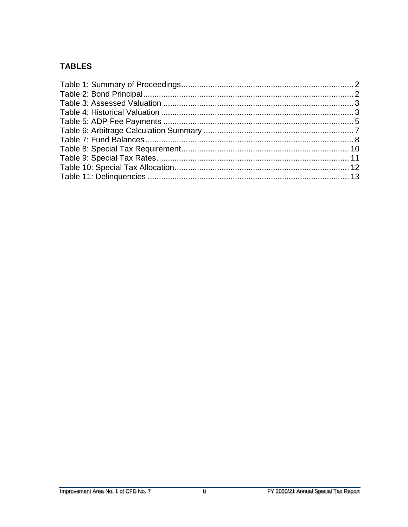#### **TABLES**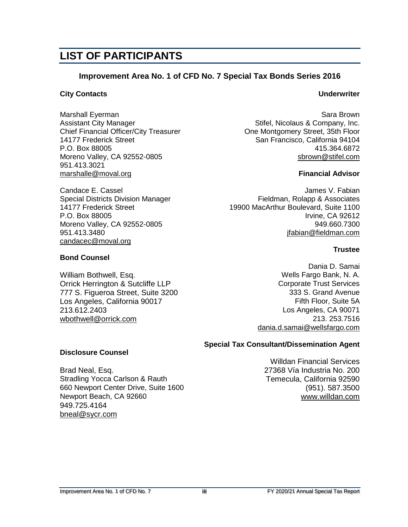# **LIST OF PARTICIPANTS**

#### **Improvement Area No. 1 of CFD No. 7 Special Tax Bonds Series 2016**

#### **City Contacts Underwriter**

**Bond Counsel**

Marshall Eyerman Sara Brown Sara Brown Sara Brown Sara Brown Sara Brown Sara Brown Assistant City Manager Stifel, Nicolaus & Company, Inc. Chief Financial Officer/City Treasurer Chief Chief Financial Officer/City Treasurer Chief Chief Montgomery Street, 35th Floor<br>14177 Frederick Street Street Superstanding the San Francisco, California 94104 P.O. Box 88005 415.364.6872 Moreno Valley, CA 92552-0805 [sbrown@stifel.com](mailto:sbrown@stifel.com) 951.413.3021 [marshalle@moval.org](mailto:richardt@moval.org) **Financial Advisor**

[candacec@moval.org](mailto:candacec@moval.org)

Los Angeles, California 90017

**Disclosure Counsel**

949.725.4164 [bneal@sycr.com](mailto:bneal@sycr.com) San Francisco, California 94104

Candace E. Cassel James V. Fabian Special Districts Division Manager Fieldman, Rolapp & Associates 14177 Frederick Street 19900 MacArthur Boulevard, Suite 1100<br>P.O. Box 88005 19900 P.O. Box 88005 **Irvine, CA 92612** Moreno Valley, CA 92552-0805 949.660.7300 951.413.3480 [jfabian@fieldman.com](mailto:jfabian@fieldman.com)

#### **Trustee**

Dania D. Samai William Bothwell, Esq. No. 2008 2012 12:30 Wells Fargo Bank, N. A. Orrick Herrington & Sutcliffe LLP **Community** Corporate Trust Services 777 S. Figueroa Street, Suite 3200 333 S. Grand Avenue<br>Los Angeles, California 90017 333 S. Grand Avenue 213.612.2403 Los Angeles, CA 90071 [wbothwell@orrick.com](mailto:wbothwell@orrick.com) 213.253.7516 [dania.d.samai@wellsfargo.com](mailto:dania.d.samai@wellsfargo.com)

#### **Special Tax Consultant/Dissemination Agent**

Willdan Financial Services Brad Neal, Esq. 27368 Vía Industria No. 200<br>Stradling Yocca Carlson & Rauth 2009 Temecula, California 92590 Temecula, California 92590 660 Newport Center Drive, Suite 1600 (951). 587.3500 Newport Beach, CA 92660 [www.willdan.com](http://www.willdan.com/)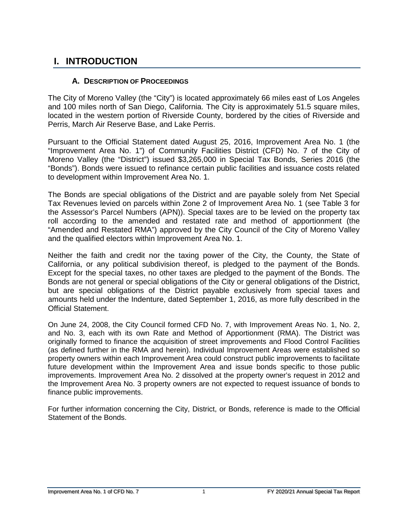## <span id="page-4-0"></span>**I. INTRODUCTION**

#### **A. DESCRIPTION OF PROCEEDINGS**

<span id="page-4-1"></span>The City of Moreno Valley (the "City") is located approximately 66 miles east of Los Angeles and 100 miles north of San Diego, California. The City is approximately 51.5 square miles, located in the western portion of Riverside County, bordered by the cities of Riverside and Perris, March Air Reserve Base, and Lake Perris.

Pursuant to the Official Statement dated August 25, 2016, Improvement Area No. 1 (the "Improvement Area No. 1") of Community Facilities District (CFD) No. 7 of the City of Moreno Valley (the "District") issued \$3,265,000 in Special Tax Bonds, Series 2016 (the "Bonds"). Bonds were issued to refinance certain public facilities and issuance costs related to development within Improvement Area No. 1.

The Bonds are special obligations of the District and are payable solely from Net Special Tax Revenues levied on parcels within Zone 2 of Improvement Area No. 1 (see Table 3 for the Assessor's Parcel Numbers (APN)). Special taxes are to be levied on the property tax roll according to the amended and restated rate and method of apportionment (the "Amended and Restated RMA") approved by the City Council of the City of Moreno Valley and the qualified electors within Improvement Area No. 1.

Neither the faith and credit nor the taxing power of the City, the County, the State of California, or any political subdivision thereof, is pledged to the payment of the Bonds. Except for the special taxes, no other taxes are pledged to the payment of the Bonds. The Bonds are not general or special obligations of the City or general obligations of the District, but are special obligations of the District payable exclusively from special taxes and amounts held under the Indenture, dated September 1, 2016, as more fully described in the Official Statement.

On June 24, 2008, the City Council formed CFD No. 7, with Improvement Areas No. 1, No. 2, and No. 3, each with its own Rate and Method of Apportionment (RMA). The District was originally formed to finance the acquisition of street improvements and Flood Control Facilities (as defined further in the RMA and herein). Individual Improvement Areas were established so property owners within each Improvement Area could construct public improvements to facilitate future development within the Improvement Area and issue bonds specific to those public improvements. Improvement Area No. 2 dissolved at the property owner's request in 2012 and the Improvement Area No. 3 property owners are not expected to request issuance of bonds to finance public improvements.

For further information concerning the City, District, or Bonds, reference is made to the Official Statement of the Bonds.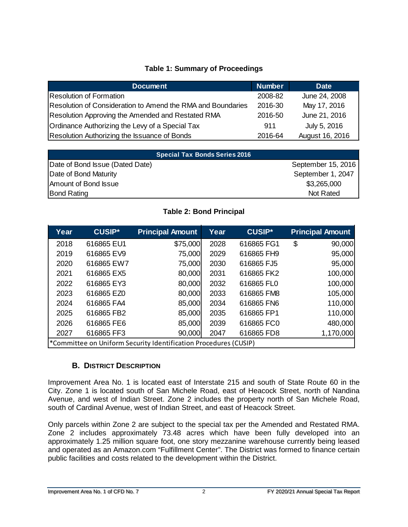#### **Table 1: Summary of Proceedings**

<span id="page-5-1"></span>

| <b>Document</b>                                             | <b>Number</b> | <b>Date</b>     |
|-------------------------------------------------------------|---------------|-----------------|
| Resolution of Formation                                     | 2008-82       | June 24, 2008   |
| Resolution of Consideration to Amend the RMA and Boundaries | 2016-30       | May 17, 2016    |
| Resolution Approving the Amended and Restated RMA           | 2016-50       | June 21, 2016   |
| Ordinance Authorizing the Levy of a Special Tax             | 911           | July 5, 2016    |
| Resolution Authorizing the Issuance of Bonds                | 2016-64       | August 16, 2016 |

| Special Tax Bonds Series 2016   |                    |
|---------------------------------|--------------------|
| Date of Bond Issue (Dated Date) | September 15, 2016 |
| Date of Bond Maturity           | September 1, 2047  |
| Amount of Bond Issue            | \$3,265,000        |
| <b>Bond Rating</b>              | Not Rated          |

#### **Table 2: Bond Principal**

<span id="page-5-2"></span>

| Year | <b>CUSIP*</b> | <b>Principal Amount</b>                                          | Year | <b>CUSIP*</b> | <b>Principal Amount</b> |
|------|---------------|------------------------------------------------------------------|------|---------------|-------------------------|
| 2018 | 616865 EU1    | \$75,000                                                         | 2028 | 616865 FG1    | \$<br>90,000            |
| 2019 | 616865 EV9    | 75,000                                                           | 2029 | 616865 FH9    | 95,000                  |
| 2020 | 616865 EW7    | 75,000                                                           | 2030 | 616865 FJ5    | 95,000                  |
| 2021 | 616865 EX5    | 80,000                                                           | 2031 | 616865 FK2    | 100,000                 |
| 2022 | 616865 EY3    | 80,000                                                           | 2032 | 616865 FL0    | 100,000                 |
| 2023 | 616865 EZ0    | 80,000                                                           | 2033 | 616865 FM8    | 105,000                 |
| 2024 | 616865 FA4    | 85,000                                                           | 2034 | 616865 FN6    | 110,000                 |
| 2025 | 616865 FB2    | 85,000                                                           | 2035 | 616865 FP1    | 110,000                 |
| 2026 | 616865 FE6    | 85,000                                                           | 2039 | 616865 FC0    | 480,000                 |
| 2027 | 616865 FF3    | 90,000                                                           | 2047 | 616865 FD8    | 1,170,000               |
|      |               | *Committee on Uniform Security Identification Procedures (CUSIP) |      |               |                         |

#### **B. DISTRICT DESCRIPTION**

<span id="page-5-0"></span>Improvement Area No. 1 is located east of Interstate 215 and south of State Route 60 in the City. Zone 1 is located south of San Michele Road, east of Heacock Street, north of Nandina Avenue, and west of Indian Street. Zone 2 includes the property north of San Michele Road, south of Cardinal Avenue, west of Indian Street, and east of Heacock Street.

Only parcels within Zone 2 are subject to the special tax per the Amended and Restated RMA. Zone 2 includes approximately 73.48 acres which have been fully developed into an approximately 1.25 million square foot, one story mezzanine warehouse currently being leased and operated as an Amazon.com "Fulfillment Center". The District was formed to finance certain public facilities and costs related to the development within the District.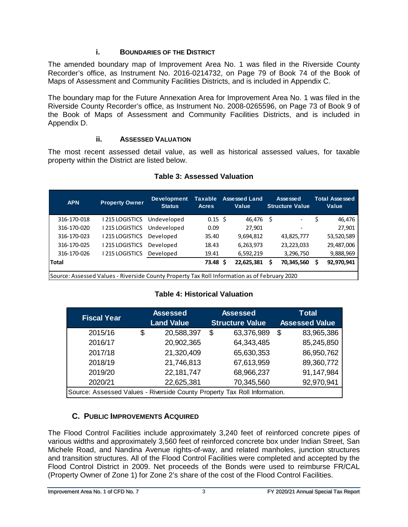#### **i. BOUNDARIES OF THE DISTRICT**

<span id="page-6-0"></span>The amended boundary map of Improvement Area No. 1 was filed in the Riverside County Recorder's office, as Instrument No. 2016-0214732, on Page 79 of Book 74 of the Book of Maps of Assessment and Community Facilities Districts, and is included in Appendix C.

The boundary map for the Future Annexation Area for Improvement Area No. 1 was filed in the Riverside County Recorder's office, as Instrument No. 2008-0265596, on Page 73 of Book 9 of the Book of Maps of Assessment and Community Facilities Districts, and is included in Appendix D.

#### **ii. ASSESSED VALUATION**

<span id="page-6-1"></span>The most recent assessed detail value, as well as historical assessed values, for taxable property within the District are listed below.

<span id="page-6-3"></span>

|                       |             | <b>Acres</b> |    | Value                 |     | <b>Structure Value</b>   | Value      |
|-----------------------|-------------|--------------|----|-----------------------|-----|--------------------------|------------|
| <b>1215 LOGISTICS</b> | Undeveloped |              |    | 46,476                | - Ś | $\overline{\phantom{a}}$ | 46,476     |
| I 215 LOGISTICS       | Undeveloped | 0.09         |    | 27,901                |     | $\overline{\phantom{a}}$ | 27,901     |
| I 215 LOGISTICS       | Developed   | 35.40        |    | 9,694,812             |     | 43,825,777               | 53,520,589 |
| 215 LOGISTICS         | Developed   | 18.43        |    | 6,263,973             |     | 23,223,033               | 29,487,006 |
| 215 LOGISTICS         | Developed   | 19.41        |    | 6,592,219             |     | 3,296,750                | 9,888,969  |
|                       |             |              | -S | 22,625,381            |     | 70,345,560               | 92,970,941 |
| $\cdots$              |             |              |    | $0.15 \;$ \$<br>73.48 |     |                          |            |

#### **Table 3: Assessed Valuation**

<span id="page-6-4"></span>Source: Assessed Values - Riverside County Property Tax Roll Information as of February 2020

#### **Table 4: Historical Valuation**

| <b>Fiscal Year</b>                                                        | <b>Assessed</b><br><b>Land Value</b> | <b>Assessed</b><br><b>Structure Value</b> | <b>Total</b><br><b>Assessed Value</b> |            |  |
|---------------------------------------------------------------------------|--------------------------------------|-------------------------------------------|---------------------------------------|------------|--|
| 2015/16                                                                   | \$<br>20,588,397                     | \$<br>63,376,989                          | \$                                    | 83,965,386 |  |
| 2016/17                                                                   | 20,902,365                           | 64,343,485                                |                                       | 85,245,850 |  |
| 2017/18                                                                   | 21,320,409                           | 65,630,353                                |                                       | 86,950,762 |  |
| 2018/19                                                                   | 21,746,813                           | 67,613,959                                |                                       | 89,360,772 |  |
| 2019/20                                                                   | 22,181,747                           | 68,966,237                                |                                       | 91,147,984 |  |
| 2020/21                                                                   | 22,625,381                           | 70,345,560                                |                                       | 92,970,941 |  |
| Source: Assessed Values - Riverside County Property Tax Roll Information. |                                      |                                           |                                       |            |  |

#### **C. PUBLIC IMPROVEMENTS ACQUIRED**

<span id="page-6-2"></span>The Flood Control Facilities include approximately 3,240 feet of reinforced concrete pipes of various widths and approximately 3,560 feet of reinforced concrete box under Indian Street, San Michele Road, and Nandina Avenue rights-of-way, and related manholes, junction structures and transition structures. All of the Flood Control Facilities were completed and accepted by the Flood Control District in 2009. Net proceeds of the Bonds were used to reimburse FR/CAL (Property Owner of Zone 1) for Zone 2's share of the cost of the Flood Control Facilities.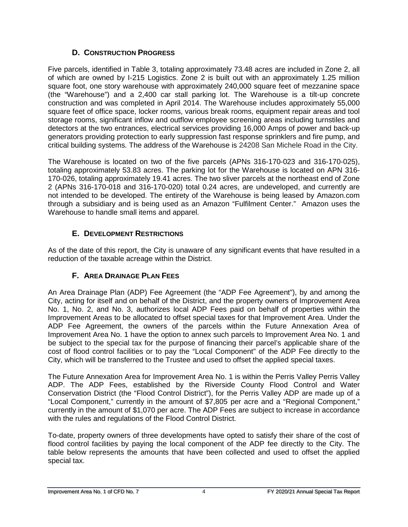#### **D. CONSTRUCTION PROGRESS**

<span id="page-7-0"></span>Five parcels, identified in Table 3, totaling approximately 73.48 acres are included in Zone 2, all of which are owned by I-215 Logistics. Zone 2 is built out with an approximately 1.25 million square foot, one story warehouse with approximately 240,000 square feet of mezzanine space (the "Warehouse") and a 2,400 car stall parking lot. The Warehouse is a tilt-up concrete construction and was completed in April 2014. The Warehouse includes approximately 55,000 square feet of office space, locker rooms, various break rooms, equipment repair areas and tool storage rooms, significant inflow and outflow employee screening areas including turnstiles and detectors at the two entrances, electrical services providing 16,000 Amps of power and back-up generators providing protection to early suppression fast response sprinklers and fire pump, and critical building systems. The address of the Warehouse is 24208 San Michele Road in the City.

The Warehouse is located on two of the five parcels (APNs 316-170-023 and 316-170-025), totaling approximately 53.83 acres. The parking lot for the Warehouse is located on APN 316- 170-026, totaling approximately 19.41 acres. The two sliver parcels at the northeast end of Zone 2 (APNs 316-170-018 and 316-170-020) total 0.24 acres, are undeveloped, and currently are not intended to be developed. The entirety of the Warehouse is being leased by Amazon.com through a subsidiary and is being used as an Amazon "Fulfilment Center." Amazon uses the Warehouse to handle small items and apparel.

#### **E. DEVELOPMENT RESTRICTIONS**

<span id="page-7-1"></span>As of the date of this report, the City is unaware of any significant events that have resulted in a reduction of the taxable acreage within the District.

### **F. AREA DRAINAGE PLAN FEES**

<span id="page-7-2"></span>An Area Drainage Plan (ADP) Fee Agreement (the "ADP Fee Agreement"), by and among the City, acting for itself and on behalf of the District, and the property owners of Improvement Area No. 1, No. 2, and No. 3, authorizes local ADP Fees paid on behalf of properties within the Improvement Areas to be allocated to offset special taxes for that Improvement Area. Under the ADP Fee Agreement, the owners of the parcels within the Future Annexation Area of Improvement Area No. 1 have the option to annex such parcels to Improvement Area No. 1 and be subject to the special tax for the purpose of financing their parcel's applicable share of the cost of flood control facilities or to pay the "Local Component" of the ADP Fee directly to the City, which will be transferred to the Trustee and used to offset the applied special taxes.

The Future Annexation Area for Improvement Area No. 1 is within the Perris Valley Perris Valley ADP. The ADP Fees, established by the Riverside County Flood Control and Water Conservation District (the "Flood Control District"), for the Perris Valley ADP are made up of a "Local Component," currently in the amount of \$7,805 per acre and a "Regional Component," currently in the amount of \$1,070 per acre. The ADP Fees are subject to increase in accordance with the rules and regulations of the Flood Control District.

To-date, property owners of three developments have opted to satisfy their share of the cost of flood control facilities by paying the local component of the ADP fee directly to the City. The table below represents the amounts that have been collected and used to offset the applied special tax.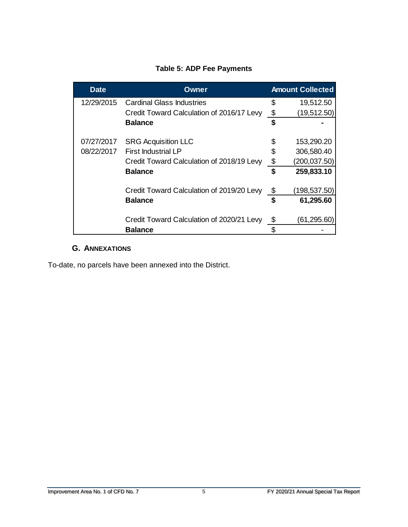#### **Table 5: ADP Fee Payments**

<span id="page-8-1"></span>

| <b>Date</b> | Owner                                     |    | <b>Amount Collected</b> |
|-------------|-------------------------------------------|----|-------------------------|
| 12/29/2015  | <b>Cardinal Glass Industries</b>          | \$ | 19,512.50               |
|             | Credit Toward Calculation of 2016/17 Levy | \$ | (19, 512.50)            |
|             | <b>Balance</b>                            | \$ |                         |
| 07/27/2017  | <b>SRG Acquisition LLC</b>                | \$ | 153,290.20              |
| 08/22/2017  | <b>First Industrial LP</b>                |    | 306,580.40              |
|             | Credit Toward Calculation of 2018/19 Levy | \$ | (200, 037.50)           |
|             | <b>Balance</b>                            | \$ | 259,833.10              |
|             | Credit Toward Calculation of 2019/20 Levy | \$ | (198,537.50)            |
|             | <b>Balance</b>                            | \$ | 61,295.60               |
|             | Credit Toward Calculation of 2020/21 Levy | \$ | (61,295.60)             |
|             | <b>Balance</b>                            | \$ |                         |

#### **G. ANNEXATIONS**

<span id="page-8-0"></span>To-date, no parcels have been annexed into the District.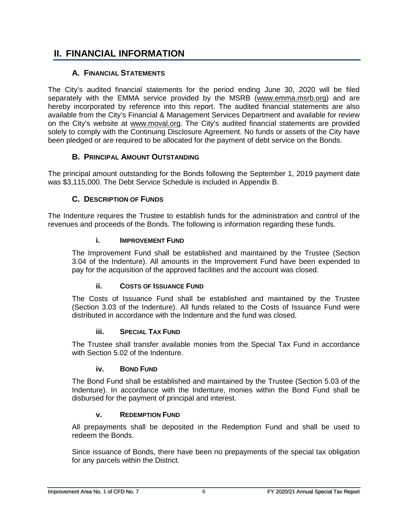## <span id="page-9-0"></span>**II. FINANCIAL INFORMATION**

#### **A. FINANCIAL STATEMENTS**

<span id="page-9-1"></span>The City's audited financial statements for the period ending June 30, 2020 will be filed separately with the EMMA service provided by the MSRB [\(www.emma.msrb.org\)](http://www.emma.msrb.org/) and are hereby incorporated by reference into this report. The audited financial statements are also available from the City's Financial & Management Services Department and available for review on the City's website at [www.m](http://www./)oval.org. The City's audited financial statements are provided solely to comply with the Continuing Disclosure Agreement. No funds or assets of the City have been pledged or are required to be allocated for the payment of debt service on the Bonds.

#### **B. PRINCIPAL AMOUNT OUTSTANDING**

<span id="page-9-2"></span>The principal amount outstanding for the Bonds following the September 1, 2019 payment date was \$3,115,000. The Debt Service Schedule is included in Appendix B.

#### **C. DESCRIPTION OF FUNDS**

<span id="page-9-4"></span><span id="page-9-3"></span>The Indenture requires the Trustee to establish funds for the administration and control of the revenues and proceeds of the Bonds. The following is information regarding these funds.

#### **i. IMPROVEMENT FUND**

The Improvement Fund shall be established and maintained by the Trustee (Section 3.04 of the Indenture). All amounts in the Improvement Fund have been expended to pay for the acquisition of the approved facilities and the account was closed.

#### **ii. COSTS OF ISSUANCE FUND**

<span id="page-9-5"></span>The Costs of Issuance Fund shall be established and maintained by the Trustee (Section 3.03 of the Indenture). All funds related to the Costs of Issuance Fund were distributed in accordance with the Indenture and the fund was closed.

#### **iii. SPECIAL TAX FUND**

<span id="page-9-6"></span>The Trustee shall transfer available monies from the Special Tax Fund in accordance with Section 5.02 of the Indenture.

#### **iv. BOND FUND**

<span id="page-9-7"></span>The Bond Fund shall be established and maintained by the Trustee (Section 5.03 of the Indenture). In accordance with the Indenture, monies within the Bond Fund shall be disbursed for the payment of principal and interest.

#### **v. REDEMPTION FUND**

<span id="page-9-8"></span>All prepayments shall be deposited in the Redemption Fund and shall be used to redeem the Bonds.

Since issuance of Bonds, there have been no prepayments of the special tax obligation for any parcels within the District.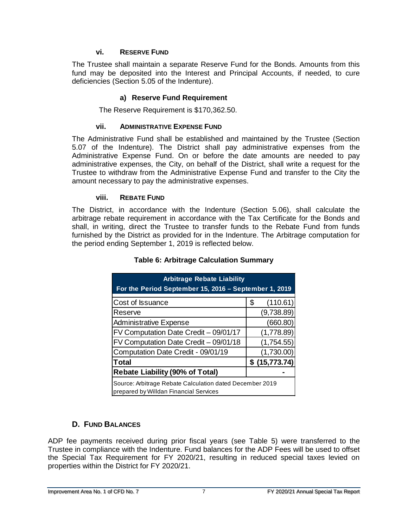#### **vi. RESERVE FUND**

<span id="page-10-0"></span>The Trustee shall maintain a separate Reserve Fund for the Bonds. Amounts from this fund may be deposited into the Interest and Principal Accounts, if needed, to cure deficiencies (Section 5.05 of the Indenture).

#### **a) Reserve Fund Requirement**

The Reserve Requirement is \$170,362.50.

#### **vii. ADMINISTRATIVE EXPENSE FUND**

<span id="page-10-1"></span>The Administrative Fund shall be established and maintained by the Trustee (Section 5.07 of the Indenture). The District shall pay administrative expenses from the Administrative Expense Fund. On or before the date amounts are needed to pay administrative expenses, the City, on behalf of the District, shall write a request for the Trustee to withdraw from the Administrative Expense Fund and transfer to the City the amount necessary to pay the administrative expenses.

#### **viii. REBATE FUND**

<span id="page-10-4"></span><span id="page-10-2"></span>The District, in accordance with the Indenture (Section 5.06), shall calculate the arbitrage rebate requirement in accordance with the Tax Certificate for the Bonds and shall, in writing, direct the Trustee to transfer funds to the Rebate Fund from funds furnished by the District as provided for in the Indenture. The Arbitrage computation for the period ending September 1, 2019 is reflected below.

| <b>Arbitrage Rebate Liability</b>                                                                  |                |  |  |  |  |  |  |  |
|----------------------------------------------------------------------------------------------------|----------------|--|--|--|--|--|--|--|
| For the Period September 15, 2016 - September 1, 2019                                              |                |  |  |  |  |  |  |  |
| Cost of Issuance                                                                                   | (110.61)<br>\$ |  |  |  |  |  |  |  |
| Reserve                                                                                            | (9,738.89)     |  |  |  |  |  |  |  |
| <b>Administrative Expense</b>                                                                      | (660.80)       |  |  |  |  |  |  |  |
| FV Computation Date Credit - 09/01/17                                                              | (1,778.89)     |  |  |  |  |  |  |  |
| FV Computation Date Credit - 09/01/18                                                              | (1,754.55)     |  |  |  |  |  |  |  |
| Computation Date Credit - 09/01/19                                                                 | (1,730.00)     |  |  |  |  |  |  |  |
| Total                                                                                              | \$(15,773.74)  |  |  |  |  |  |  |  |
| <b>Rebate Liability (90% of Total)</b>                                                             |                |  |  |  |  |  |  |  |
| Source: Arbitrage Rebate Calculation dated December 2019<br>prepared by Willdan Financial Services |                |  |  |  |  |  |  |  |

#### **Table 6: Arbitrage Calculation Summary**

#### **D. FUND BALANCES**

<span id="page-10-3"></span>ADP fee payments received during prior fiscal years (see Table 5) were transferred to the Trustee in compliance with the Indenture. Fund balances for the ADP Fees will be used to offset the Special Tax Requirement for FY 2020/21, resulting in reduced special taxes levied on properties within the District for FY 2020/21.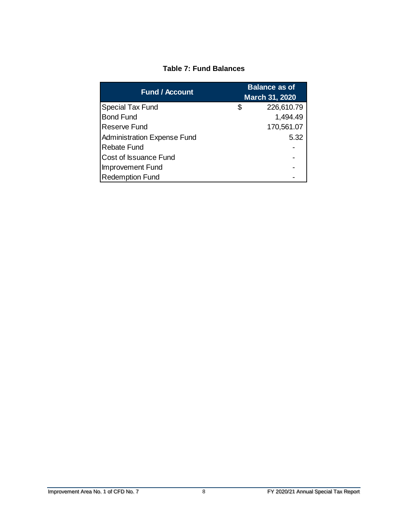#### **Table 7: Fund Balances**

<span id="page-11-0"></span>

| <b>Fund / Account</b>              | <b>Balance as of</b><br>March 31, 2020 |            |  |  |
|------------------------------------|----------------------------------------|------------|--|--|
| <b>Special Tax Fund</b>            | \$                                     | 226,610.79 |  |  |
| <b>Bond Fund</b>                   |                                        | 1,494.49   |  |  |
| <b>Reserve Fund</b>                |                                        | 170,561.07 |  |  |
| <b>Administration Expense Fund</b> |                                        | 5.32       |  |  |
| <b>Rebate Fund</b>                 |                                        |            |  |  |
| <b>Cost of Issuance Fund</b>       |                                        |            |  |  |
| Improvement Fund                   |                                        |            |  |  |
| <b>Redemption Fund</b>             |                                        |            |  |  |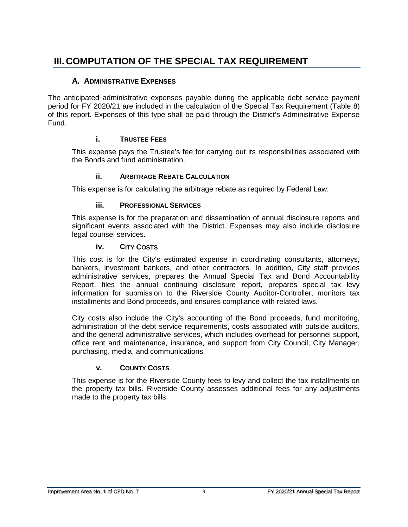# <span id="page-12-0"></span>**III. COMPUTATION OF THE SPECIAL TAX REQUIREMENT**

#### **A. ADMINISTRATIVE EXPENSES**

<span id="page-12-1"></span>The anticipated administrative expenses payable during the applicable debt service payment period for FY 2020/21 are included in the calculation of the Special Tax Requirement (Table 8) of this report. Expenses of this type shall be paid through the District's Administrative Expense Fund.

#### **i. TRUSTEE FEES**

<span id="page-12-2"></span>This expense pays the Trustee's fee for carrying out its responsibilities associated with the Bonds and fund administration.

#### **ii. ARBITRAGE REBATE CALCULATION**

<span id="page-12-3"></span>This expense is for calculating the arbitrage rebate as required by Federal Law.

#### **iii. PROFESSIONAL SERVICES**

<span id="page-12-4"></span>This expense is for the preparation and dissemination of annual disclosure reports and significant events associated with the District. Expenses may also include disclosure legal counsel services.

#### **iv. CITY COSTS**

<span id="page-12-5"></span>This cost is for the City's estimated expense in coordinating consultants, attorneys, bankers, investment bankers, and other contractors. In addition, City staff provides administrative services, prepares the Annual Special Tax and Bond Accountability Report, files the annual continuing disclosure report, prepares special tax levy information for submission to the Riverside County Auditor-Controller, monitors tax installments and Bond proceeds, and ensures compliance with related laws.

City costs also include the City's accounting of the Bond proceeds, fund monitoring, administration of the debt service requirements, costs associated with outside auditors, and the general administrative services, which includes overhead for personnel support, office rent and maintenance, insurance, and support from City Council, City Manager, purchasing, media, and communications.

#### **v. COUNTY COSTS**

<span id="page-12-6"></span>This expense is for the Riverside County fees to levy and collect the tax installments on the property tax bills. Riverside County assesses additional fees for any adjustments made to the property tax bills.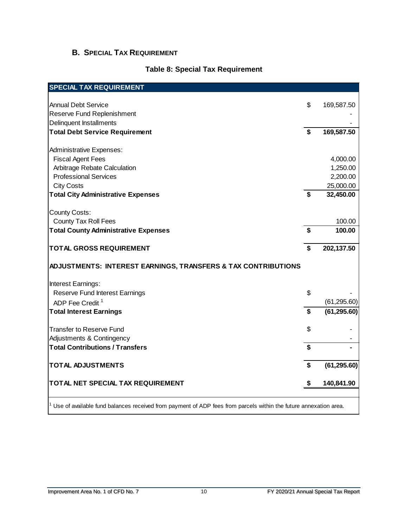### <span id="page-13-0"></span>**B. SPECIAL TAX REQUIREMENT**

#### **Table 8: Special Tax Requirement**

<span id="page-13-1"></span>

| <b>Annual Debt Service</b>                                    | \$                 | 169,587.50   |
|---------------------------------------------------------------|--------------------|--------------|
| Reserve Fund Replenishment                                    |                    |              |
| Delinquent Installments                                       |                    |              |
| <b>Total Debt Service Requirement</b>                         | \$                 | 169,587.50   |
|                                                               |                    |              |
| <b>Administrative Expenses:</b>                               |                    |              |
| <b>Fiscal Agent Fees</b>                                      |                    | 4,000.00     |
| Arbitrage Rebate Calculation                                  |                    | 1,250.00     |
| <b>Professional Services</b>                                  |                    | 2,200.00     |
| <b>City Costs</b>                                             |                    | 25,000.00    |
| <b>Total City Administrative Expenses</b>                     | \$                 | 32,450.00    |
|                                                               |                    |              |
| <b>County Costs:</b>                                          |                    |              |
| <b>County Tax Roll Fees</b>                                   |                    | 100.00       |
| <b>Total County Administrative Expenses</b>                   | \$                 | 100.00       |
|                                                               |                    |              |
| TOTAL GROSS REQUIREMENT                                       | \$                 | 202,137.50   |
| ADJUSTMENTS: INTEREST EARNINGS, TRANSFERS & TAX CONTRIBUTIONS |                    |              |
| Interest Earnings:                                            |                    |              |
| Reserve Fund Interest Earnings                                | \$                 |              |
| ADP Fee Credit <sup>1</sup>                                   |                    | (61, 295.60) |
| <b>Total Interest Earnings</b>                                | $\mathbf{\hat{s}}$ | (61, 295.60) |
| <b>Transfer to Reserve Fund</b>                               | \$                 |              |
| Adjustments & Contingency                                     |                    |              |
| <b>Total Contributions / Transfers</b>                        | $\mathbf{\hat{s}}$ |              |
|                                                               |                    |              |
|                                                               |                    |              |
| <b>TOTAL ADJUSTMENTS</b>                                      | \$                 | (61, 295.60) |

<sup>1</sup> Use of available fund balances received from payment of ADP fees from parcels within the future annexation area.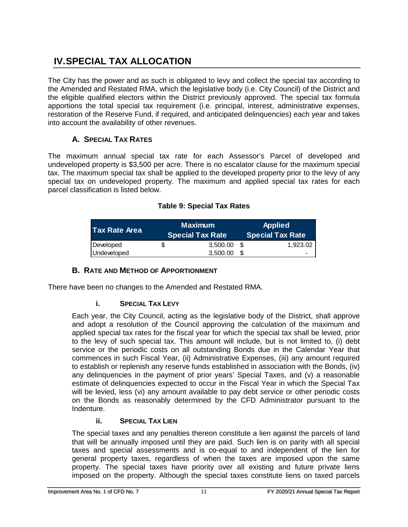# <span id="page-14-0"></span>**IV.SPECIAL TAX ALLOCATION**

The City has the power and as such is obligated to levy and collect the special tax according to the Amended and Restated RMA, which the legislative body (i.e. City Council) of the District and the eligible qualified electors within the District previously approved. The special tax formula apportions the total special tax requirement (i.e. principal, interest, administrative expenses, restoration of the Reserve Fund, if required, and anticipated delinquencies) each year and takes into account the availability of other revenues.

#### **A. SPECIAL TAX RATES**

<span id="page-14-1"></span>The maximum annual special tax rate for each Assessor's Parcel of developed and undeveloped property is \$3,500 per acre. There is no escalator clause for the maximum special tax. The maximum special tax shall be applied to the developed property prior to the levy of any special tax on undeveloped property. The maximum and applied special tax rates for each parcel classification is listed below.

<span id="page-14-5"></span>

| <b>Tax Rate Area</b> | <b>Maximum</b><br><b>Special Tax Rate</b> | <b>Applied</b><br>Special Tax Rate |          |  |
|----------------------|-------------------------------------------|------------------------------------|----------|--|
| Developed            | \$<br>3,500.00                            | S                                  | 1.923.02 |  |
| Undeveloped          | 3.500.00                                  |                                    |          |  |

#### **Table 9: Special Tax Rates**

#### **B. RATE AND METHOD OF APPORTIONMENT**

<span id="page-14-3"></span><span id="page-14-2"></span>There have been no changes to the Amended and Restated RMA.

#### **i. SPECIAL TAX LEVY**

Each year, the City Council, acting as the legislative body of the District, shall approve and adopt a resolution of the Council approving the calculation of the maximum and applied special tax rates for the fiscal year for which the special tax shall be levied, prior to the levy of such special tax. This amount will include, but is not limited to, (i) debt service or the periodic costs on all outstanding Bonds due in the Calendar Year that commences in such Fiscal Year, (ii) Administrative Expenses, (iii) any amount required to establish or replenish any reserve funds established in association with the Bonds, (iv) any delinquencies in the payment of prior years' Special Taxes, and (v) a reasonable estimate of delinquencies expected to occur in the Fiscal Year in which the Special Tax will be levied, less (vi) any amount available to pay debt service or other periodic costs on the Bonds as reasonably determined by the CFD Administrator pursuant to the Indenture.

#### **ii. SPECIAL TAX LIEN**

<span id="page-14-4"></span>The special taxes and any penalties thereon constitute a lien against the parcels of land that will be annually imposed until they are paid. Such lien is on parity with all special taxes and special assessments and is co-equal to and independent of the lien for general property taxes, regardless of when the taxes are imposed upon the same property. The special taxes have priority over all existing and future private liens imposed on the property. Although the special taxes constitute liens on taxed parcels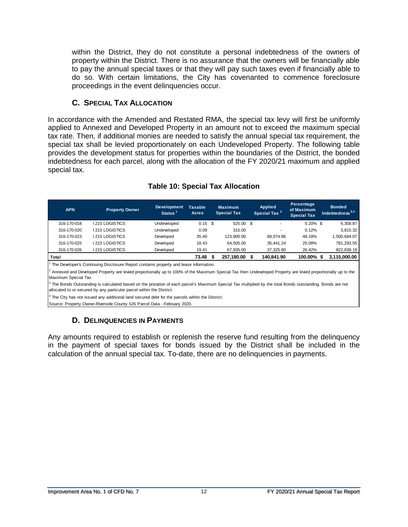within the District, they do not constitute a personal indebtedness of the owners of property within the District. There is no assurance that the owners will be financially able to pay the annual special taxes or that they will pay such taxes even if financially able to do so. With certain limitations, the City has covenanted to commence foreclosure proceedings in the event delinquencies occur.

#### **C. SPECIAL TAX ALLOCATION**

<span id="page-15-0"></span>In accordance with the Amended and Restated RMA, the special tax levy will first be uniformly applied to Annexed and Developed Property in an amount not to exceed the maximum special tax rate. Then, if additional monies are needed to satisfy the annual special tax requirement, the special tax shall be levied proportionately on each Undeveloped Property. The following table provides the development status for properties within the boundaries of the District, the bonded indebtedness for each parcel, along with the allocation of the FY 2020/21 maximum and applied special tax.

<span id="page-15-2"></span>

| <b>APN</b>                                                                                                                                                                           | <b>Property Owner</b> | <b>Development</b><br>Status <sup>1</sup> | <b>Taxable</b><br><b>Acres</b> |   | <b>Maximum</b><br><b>Special Tax</b> |  | <b>Applied</b><br>Special Tax <sup>2</sup> | Percentage<br>of Maximum<br><b>Special Tax</b> | <b>Bonded</b><br>Indebtedness $3,4$ |
|--------------------------------------------------------------------------------------------------------------------------------------------------------------------------------------|-----------------------|-------------------------------------------|--------------------------------|---|--------------------------------------|--|--------------------------------------------|------------------------------------------------|-------------------------------------|
| 316-170-018                                                                                                                                                                          | <b>1215 LOGISTICS</b> | Undeveloped                               | $0.15$ \$                      |   | 525.00 \$                            |  |                                            | $0.20\%$ \$                                    | 6,358.87                            |
| 316-170-020                                                                                                                                                                          | <b>1215 LOGISTICS</b> | Undeveloped                               | 0.09                           |   | 315.00                               |  |                                            | 0.12%                                          | 3,815.32                            |
| 316-170-023                                                                                                                                                                          | <b>1215 LOGISTICS</b> | Developed                                 | 35.40                          |   | 123.900.00                           |  | 68.074.86                                  | 48.18%                                         | 1,500,694.07                        |
| 316-170-025                                                                                                                                                                          | <b>1215 LOGISTICS</b> | Developed                                 | 18.43                          |   | 64.505.00                            |  | 35.441.24                                  | 25.08%                                         | 781,293.55                          |
| 316-170-026                                                                                                                                                                          | <b>1215 LOGISTICS</b> | Developed                                 | 19.41                          |   | 67.935.00                            |  | 37.325.80                                  | 26.42%                                         | 822,838.19                          |
| Total                                                                                                                                                                                |                       |                                           | 73.48                          | S | 257.180.00                           |  | 140.841.90                                 | 100.00% \$                                     | 3,115,000.00                        |
| The Developer's Continuing Disclosure Report contains property and lease information.                                                                                                |                       |                                           |                                |   |                                      |  |                                            |                                                |                                     |
| Annexed and Developed Property are levied proportionally up to 100% of the Maximum Special Tax then Undeveloped Property are levied proportionally up to the<br>Maximum Special Tax. |                       |                                           |                                |   |                                      |  |                                            |                                                |                                     |
| <sup>3</sup> The Bonds Outstanding is calculated based on the proration of each parcel's Maximum Special Tax multiplied by the total Bonds outstanding. Bonds are not                |                       |                                           |                                |   |                                      |  |                                            |                                                |                                     |

#### **Table 10: Special Tax Allocation**

allocated to or secured by any particular parcel within the District.

<sup>4</sup> The City has not issued any additional land secured debt for the parcels within the District.

<span id="page-15-1"></span>Source: Property Owner-Riverside County GIS Parcel Data - February 2020.

#### **D. DELINQUENCIES IN PAYMENTS**

Any amounts required to establish or replenish the reserve fund resulting from the delinquency in the payment of special taxes for bonds issued by the District shall be included in the calculation of the annual special tax. To-date, there are no delinquencies in payments.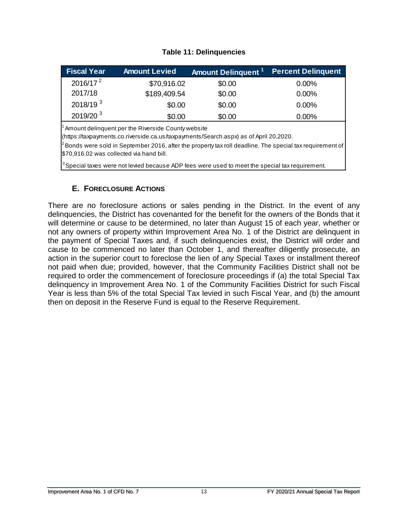#### **Table 11: Delinquencies**

<span id="page-16-1"></span>

| <b>Fiscal Year</b> | <b>Amount Levied</b> | Amount Delinquent <sup>11</sup> | <b>Percent Delinquent</b> |
|--------------------|----------------------|---------------------------------|---------------------------|
| $2016/17^2$        | \$70,916.02          | \$0.00                          | $0.00\%$                  |
| 2017/18            | \$189,409.54         | \$0.00                          | $0.00\%$                  |
| 2018/19 $3$        | \$0.00               | \$0.00                          | $0.00\%$                  |
| $2019/20^{3}$      | \$0.00               | \$0.00                          | $0.00\%$                  |

 $^{\rm 1}$  Amount delinquent per the Riverside County website

(https://taxpayments.co.riverside.ca.us/taxpayments/Search.aspx) as of April 20,2020.

 $^2$ Bonds were sold in September 2016, after the property tax roll deadline. The special tax requirement of \$70,916.02 was collected via hand bill.

 $^3$ Special taxes were not levied because ADP fees were used to meet the special tax requirement.

#### **E. FORECLOSURE ACTIONS**

<span id="page-16-0"></span>There are no foreclosure actions or sales pending in the District. In the event of any delinquencies, the District has covenanted for the benefit for the owners of the Bonds that it will determine or cause to be determined, no later than August 15 of each year, whether or not any owners of property within Improvement Area No. 1 of the District are delinquent in the payment of Special Taxes and, if such delinquencies exist, the District will order and cause to be commenced no later than October 1, and thereafter diligently prosecute, an action in the superior court to foreclose the lien of any Special Taxes or installment thereof not paid when due; provided, however, that the Community Facilities District shall not be required to order the commencement of foreclosure proceedings if (a) the total Special Tax delinquency in Improvement Area No. 1 of the Community Facilities District for such Fiscal Year is less than 5% of the total Special Tax levied in such Fiscal Year, and (b) the amount then on deposit in the Reserve Fund is equal to the Reserve Requirement.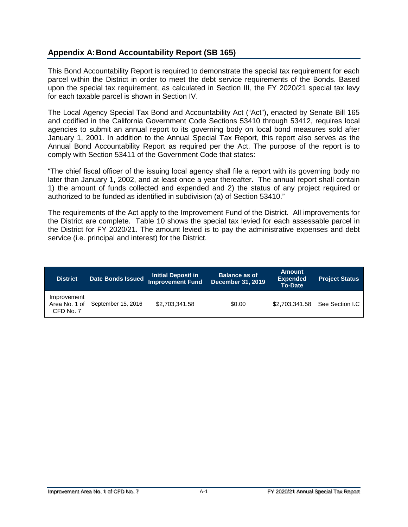#### <span id="page-17-0"></span>**Appendix A:Bond Accountability Report (SB 165)**

This Bond Accountability Report is required to demonstrate the special tax requirement for each parcel within the District in order to meet the debt service requirements of the Bonds. Based upon the special tax requirement, as calculated in Section III, the FY 2020/21 special tax levy for each taxable parcel is shown in Section IV.

The Local Agency Special Tax Bond and Accountability Act ("Act"), enacted by Senate Bill 165 and codified in the California Government Code Sections 53410 through 53412, requires local agencies to submit an annual report to its governing body on local bond measures sold after January 1, 2001. In addition to the Annual Special Tax Report, this report also serves as the Annual Bond Accountability Report as required per the Act. The purpose of the report is to comply with Section 53411 of the Government Code that states:

"The chief fiscal officer of the issuing local agency shall file a report with its governing body no later than January 1, 2002, and at least once a year thereafter. The annual report shall contain 1) the amount of funds collected and expended and 2) the status of any project required or authorized to be funded as identified in subdivision (a) of Section 53410."

The requirements of the Act apply to the Improvement Fund of the District. All improvements for the District are complete. Table 10 shows the special tax levied for each assessable parcel in the District for FY 2020/21. The amount levied is to pay the administrative expenses and debt service (i.e. principal and interest) for the District.

| <b>District</b>                           | Date Bonds Issued  | <b>Initial Deposit in</b><br><b>Improvement Fund</b> | <b>Balance as of</b><br><b>December 31, 2019</b> |                | <b>Project Status</b> |
|-------------------------------------------|--------------------|------------------------------------------------------|--------------------------------------------------|----------------|-----------------------|
| Improvement<br>Area No. 1 of<br>CFD No. 7 | September 15, 2016 | \$2,703,341.58                                       | \$0.00                                           | \$2,703,341.58 | See Section I.C       |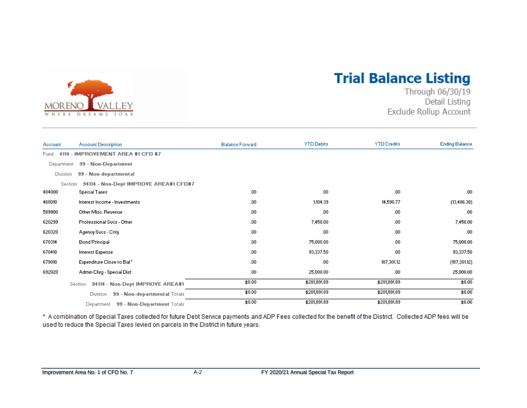

# **Trial Balance Listing**

Through 06/30/19 **Detail Listing Exclude Rollup Account** 

| Account        | <b>Account Description</b>                      | <b>Balance Forward</b> | <b>YTD Debits</b> | <b>YTD Credits</b> | <b>Ending Balance</b> |
|----------------|-------------------------------------------------|------------------------|-------------------|--------------------|-----------------------|
| Fund           | 4114 - IMPROVEMENT AREA #1 CFD #7               |                        |                   |                    |                       |
| Department     | 99 - Non-Department                             |                        |                   |                    |                       |
| Division       | 99 - Non-departmental                           |                        |                   |                    |                       |
| <b>Section</b> | 94114 - Non-Dept IMPROVE AREA#1 CFD#7           |                        |                   |                    |                       |
| 404000         | <b>Special Taxes</b>                            | .00                    | .00               | .00.               | .00                   |
| 460010         | Interest Income - Investments                   | .00                    | 1,104.39          | 14,590.77          | (13, 486.38)          |
| 589900         | Other Misc, Revenue                             | .00                    | .00               | .00.               | .00                   |
| 620299         | Professional Sycs - Other                       | .00                    | 7,450.00          | .00.               | 7,450.00              |
| 620320         | Agency Svos - Cnty                              | .00                    | .00.              | .00.               | .00                   |
| 670314         | <b>Bond Principal</b>                           | .00                    | 75,000.00         | .00.               | 75,000.00             |
| 670410         | Interest Expense                                | .00                    | 93,337.50         | .00.               | 93,337.50             |
| 679010         | Expenditure Close to Bal                        | .00                    | .00               | 187,301.12         | (187, 301.12)         |
| 692020         | Admin Chrg - Special Dist                       | .00                    | 25,000.00         | .00.               | 25,000.00             |
|                | 94114 - Non-Dept IMPROVE AREA#1<br>Section      | \$0.00                 | \$201,891.89      | \$201,891.89       | \$0.00                |
|                | 99 - Non-departmental Totals<br><b>Division</b> | \$0.00                 | \$201,891.89      | \$201,891.89       | \$0.00                |
|                | 99 - Non-Department Totals<br>Department        | \$0.00                 | \$201,891.89      | \$201,891.89       | \$0.00                |

\* A combination of Special Taxes collected for future Debt Service payments and ADP Fees collected for the benefit of the District. Collected ADP fees will be used to reduce the Special Taxes levied on parcels in the District in future years.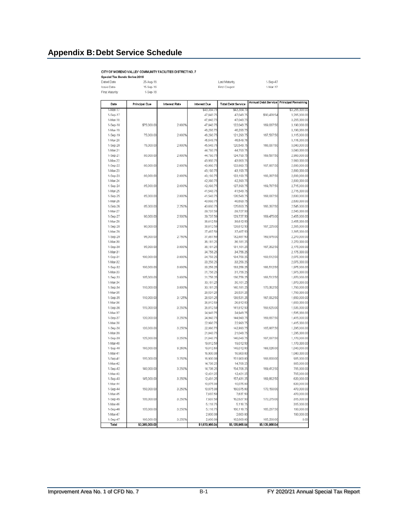#### <span id="page-19-0"></span>**Appendix B:Debt Service Schedule**

#### CITY OF MORENO VALLEY COMMUNITY FACILITIES DISTRICT NO. 7

CITY OF MORENO VALLEY COMMUNITY<br>Special Tax Bonds Series 2016<br>Discio Date 2016<br>ISSue Date 15-Sep-16<br>First Maturity 1-Sep-18

Last Maturity First Coupon 1-Sep-47<br>1-Mar-17

| Date                 | <b>Principal Due</b> | Interest Rate | <b>Interest Due</b>    | <b>Total Debt Service</b> | Annual Debt Service   Principal Remaining |                            |
|----------------------|----------------------|---------------|------------------------|---------------------------|-------------------------------------------|----------------------------|
| $1$ -Mar-17          |                      |               | \$43,384.79            | \$43,384.79               |                                           | \$3,265,000.0              |
| 1-Sep-17             |                      |               | 47,043.75              | 47,043.75                 | \$90,428.54                               | 3,265,000.0                |
| 1-Mar-18             |                      |               | 47,043.75              | 47,043.75                 |                                           | 3,265,000.0                |
| 1-Sep-18             | \$75,000.00          | 2.000%        | 47,043.75              | 122,043.75                | 169,087.50                                | 3,190,000.0                |
| 1-Mar-19             |                      |               | 46,293.75              | 46,293.75                 |                                           | 3,190,000.0                |
| 1-Sep-19             | 75,000.00            | 2.000%        | 46,293.75              | 121,293.75                | 167,587.50                                | 3,115,000.0                |
| 1-Mar-20             |                      |               | 45,543.75              | 45,543.75                 |                                           | 3,115,000.0                |
| 1-Sep-20             | 75,000.00            | 2.000%        | 45,543.75              | 120,543.75                | 166,087.50                                | 3,040,000.0                |
| 1-Mar-21             |                      |               | 44,793.75              | 44,793.75                 |                                           | 3,040,000.0                |
| 1-Sep-21             | 80,000.00            | 2.000%        | 44,793.75              | 124,793.75                | 169,587.50                                | 2,960,000.0                |
| 1-Mar-22             |                      |               | 43,993.75              | 43,993.75                 |                                           | 2,960,000.0                |
| 1-Sep-22             | 80,000.00            | 2.000%        | 43,993.75              | 123,993.75                | 167,987.50                                | 2,880,000.0                |
| 1-Mar-23             |                      |               | 43,193.75              | 43,193.75                 |                                           | 2,880,000.0                |
| 1-Sep-23<br>1-Mar-24 | 80,000.00            | 2.000%        | 43,193.75<br>42,393.75 | 123, 193. 75<br>42,393.75 | 166,387.50                                | 2,800,000.0<br>2,800,000.0 |
| 1-Sep-24             | 85,000.00            | 2.000%        | 42,393.75              | 127,393.75                | 169,787.50                                | 2,715,000.0                |
| 1-Mar-25             |                      |               | 41,543.75              | 41,543.75                 |                                           | 2,715,000.0                |
| 1-Sep-25             | 85,000.00            | 2.000%        | 41,543.75              | 126,543.75                | 168,087.50                                | 2,630,000.0                |
| 1-Mar-26             |                      |               | 40,693.75              | 40,693.75                 |                                           | 2,630,000.0                |
| 1-Sep-26             | 85,000.00            | 2.250%        | 40,693.75              | 125,693.75                | 166,387.50                                | 2,545,000.0                |
| 1-Mar-27             |                      |               | 39,737.50              | 39,737.50                 |                                           | 2,545,000.0                |
| $1-Sep-27$           | 90,000.00            | 2.500%        | 39,737.50              | 129,737.50                | 169,475.00                                | 2,455,000.0                |
| 1-Mar-28             |                      |               | 38,612.50              | 38,612.50                 |                                           | 2,455,000.0                |
| 1-Sep-28             | 90,000.00            | 2.500%        | 38,612.50              | 128,612.50                | 167,225.00                                | 2,365,000.0                |
| 1-Mar-29             |                      |               | 37,487.50              | 37,487.50                 |                                           | 2,365,000.0                |
| 1-Sep-29             | 95,000.00            | 2.750%        | 37,487.50              | 132,487.50                | 169,975.00                                | 2,270,000.0                |
| 1-Mar-30             |                      |               | 36,181.25              | 36,181.25                 |                                           | 2,270,000.0                |
| 1-Sep-30             | 95,000.00            | 3.000%        | 36,181.25              | 131, 181.25               | 167,362.50                                | 2,175,000.0                |
| 1-Mar-31             |                      |               | 34,756.25              | 34,756.25                 |                                           | 2,175,000.0                |
| 1-Sep-31             | 100,000.00           | 3.000%        | 34,756.25              | 134,756.25                | 169,512.50                                | 2,075,000.0                |
| 1-Mar-32             |                      |               | 33,256.25              | 33,256.25                 |                                           | 2,075,000.0                |
| 1-Sep-32             | 100,000.00           | 3.000%        | 33,256.25              | 133,256.25                | 166,512.50                                | 1,975,000.0                |
| 1-Mar-33             |                      |               | 31,756.25              | 31,756.25                 |                                           | 1,975,000.0                |
| 1-Sep-33             | 105,000.00           | 3.000%        | 31,756.25              | 136,756.25                | 168,512.50                                | 1,870,000.0                |
| 1-Mar-34             |                      |               | 30,181.25              | 30,181.25                 |                                           | 1,870,000.0                |
| 1-Sep-34             | 110,000.00           | 3.000%        | 30,181.25              | 140,181.25                | 170,362.50                                | 1,760,000.0                |
| 1-Mar-35             |                      |               | 28,531.25              | 28,531.25                 |                                           | 1,760,000.0                |
| 1-Sep-35             | 110,000.00           | 3.125%        | 28,531.25              | 138,531.25                | 167,062.50                                | 1,650,000.0                |
| 1-Mar-36             |                      |               | 26,812.50              | 26,812.50                 |                                           | 1,650,000.0                |
| 1-Sep-36             | 115,000.00           | 3.250%        | 26,812.50              | 141,812.50                | 168,625.00                                | 1,535,000.0                |
| 1-Mar-37             |                      |               | 24,943.75              | 24,943.75                 |                                           | 1,535,000.0                |
| 1-Sep-37             | 120,000.00           | 3.250%        | 24,943.75              | 144,943.75                | 169,887.50                                | 1,415,000.0                |
| 1-Mar-38             |                      |               | 22,993.75              | 22,993.75                 |                                           | 1,415,000.0                |
| 1-Sep-38             | 120,000.00           | 3.250%        | 22,993.75              | 142,993.75                | 165,987.50                                | 1,295,000.0                |
| 1-Mar-39             | 125,000.00           | 3.250%        | 21,043.75              | 21,043.75<br>146,043.75   |                                           | 1,295,000.0                |
| 1-Sep-39             |                      |               | 21,043.75              |                           | 167,087.50                                | 1,170,000.0                |
| 1-Mar-40<br>1-Sep-40 | 130,000.00           | 3.250%        | 19,012.50<br>19,012.50 | 19,012.50<br>149,012.50   | 168,025.00                                | 1,170,000.0                |
| 1-Mar-41             |                      |               | 16,900.00              | 16,900.00                 |                                           | 1,040,000.0<br>1,040,000.0 |
| 1-Sep-41             | 135,000.00           | 3.250%        | 16,900.00              | 151,900.00                | 168.800.00                                | 905,000.0                  |
| 1-Mar-42             |                      |               | 14,706.25              | 14,706.25                 |                                           | 905,000.0                  |
| 1-Sep-42             | 140,000.00           | 3.250%        | 14,706.25              | 154,706.25                | 169,412.50                                | 765,000.0                  |
| 1-Mar-43             |                      |               | 12,431.25              | 12,431.25                 |                                           | 765,000.0                  |
| 1-Sep-43             | 145,000.00           | 3.250%        | 12,431.25              | 157,431.25                | 169,862.50                                | 620,000.0                  |
| 1-Mar-44             |                      |               | 10,075.00              | 10,075.00                 |                                           | 620,000.0                  |
| 1-Sep-44             | 150,000.00           | 3.250%        | 10,075.00              | 160,075.00                | 170,150.00                                | 470,000.0                  |
| 1-Mar-45             |                      |               | 7,637.50               | 7,637.50                  |                                           | 470,000.0                  |
| 1-Sep-45             | 155,000.00           | 3.250%        | 7,637.50               | 162,637.50                | 170,275.00                                | 315,000.0                  |
| 1-Mar-46             |                      |               | 5,118.75               | 5,118.75                  |                                           | 315,000.0                  |
| 1-Sep-46             | 155,000.00           | 3.250%        | 5,118.75               | 160,118.75                | 165,237.50                                | 160,000.0                  |
| 1-Mar-47             |                      |               | 2,600.00               | 2,600.00                  |                                           | 160,000.0                  |
| 1-Sep.47             | 160,000.00           | 3.250%        | 2,600.00               | 162,600.00                | 165,200.00                                | 0.01                       |
| Total                | \$3,265,000.00       |               | \$1,870,966.04         | \$5,135,966.04            | \$5,135,966.04                            |                            |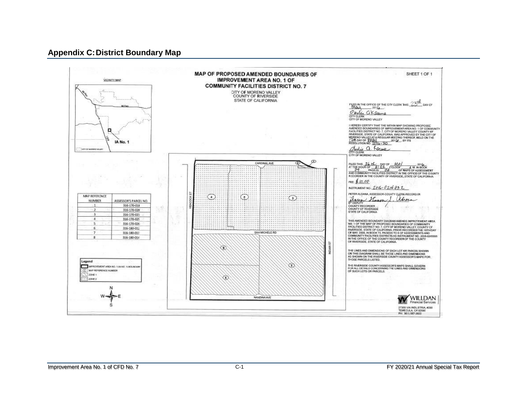#### **Appendix C:District Boundary Map**

<span id="page-20-0"></span>